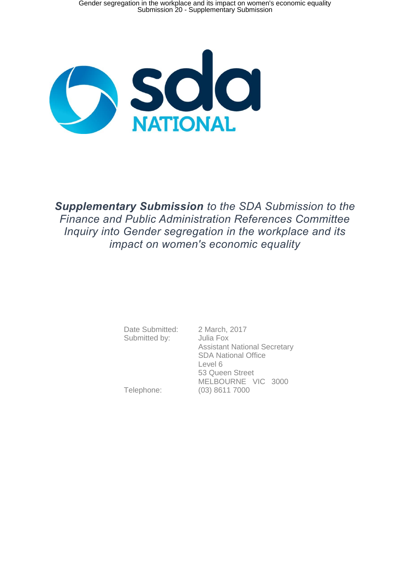

*Supplementary Submission to the SDA Submission to the Finance and Public Administration References Committee Inquiry into Gender segregation in the workplace and its impact on women's economic equality*

> Date Submitted: 2 March, 2017 Submitted by: Julia Fox

 Assistant National Secretary SDA National Office Level 6 53 Queen Street MELBOURNE VIC 3000 Telephone: (03) 8611 7000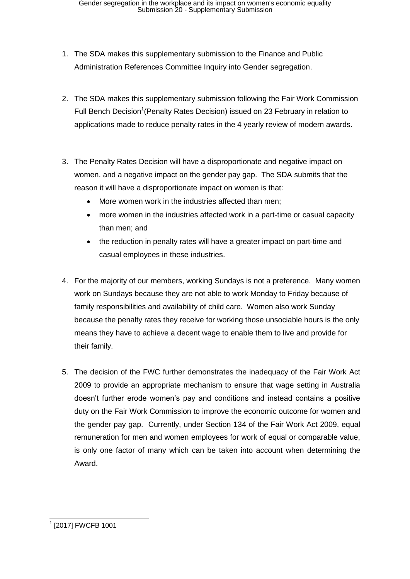- 1. The SDA makes this supplementary submission to the Finance and Public Administration References Committee Inquiry into Gender segregation.
- 2. The SDA makes this supplementary submission following the Fair Work Commission Full Bench Decision<sup>1</sup> (Penalty Rates Decision) issued on 23 February in relation to applications made to reduce penalty rates in the 4 yearly review of modern awards.
- 3. The Penalty Rates Decision will have a disproportionate and negative impact on women, and a negative impact on the gender pay gap. The SDA submits that the reason it will have a disproportionate impact on women is that:
	- More women work in the industries affected than men;
	- more women in the industries affected work in a part-time or casual capacity than men; and
	- the reduction in penalty rates will have a greater impact on part-time and casual employees in these industries.
- 4. For the majority of our members, working Sundays is not a preference. Many women work on Sundays because they are not able to work Monday to Friday because of family responsibilities and availability of child care. Women also work Sunday because the penalty rates they receive for working those unsociable hours is the only means they have to achieve a decent wage to enable them to live and provide for their family.
- 5. The decision of the FWC further demonstrates the inadequacy of the Fair Work Act 2009 to provide an appropriate mechanism to ensure that wage setting in Australia doesn't further erode women's pay and conditions and instead contains a positive duty on the Fair Work Commission to improve the economic outcome for women and the gender pay gap. Currently, under Section 134 of the Fair Work Act 2009, equal remuneration for men and women employees for work of equal or comparable value, is only one factor of many which can be taken into account when determining the Award.

<sup>|-&</sup>lt;br>|-<br>| [2017] FWCFB 1001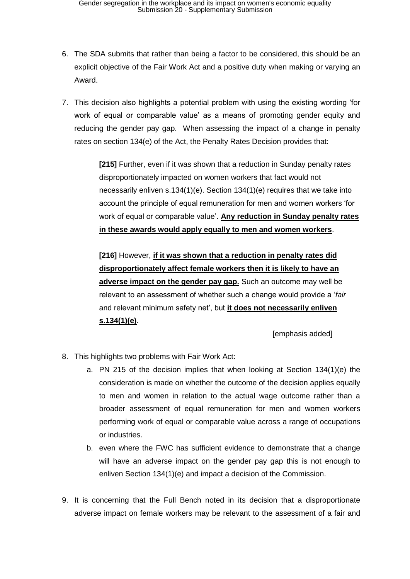- 6. The SDA submits that rather than being a factor to be considered, this should be an explicit objective of the Fair Work Act and a positive duty when making or varying an Award.
- 7. This decision also highlights a potential problem with using the existing wording 'for work of equal or comparable value' as a means of promoting gender equity and reducing the gender pay gap. When assessing the impact of a change in penalty rates on section 134(e) of the Act, the Penalty Rates Decision provides that:

**[215]** Further, even if it was shown that a reduction in Sunday penalty rates disproportionately impacted on women workers that fact would not necessarily enliven s.134(1)(e). Section 134(1)(e) requires that we take into account the principle of equal remuneration for men and women workers 'for work of equal or comparable value'. **Any reduction in Sunday penalty rates in these awards would apply equally to men and women workers**.

**[216]** However, **if it was shown that a reduction in penalty rates did disproportionately affect female workers then it is likely to have an adverse impact on the gender pay gap.** Such an outcome may well be relevant to an assessment of whether such a change would provide a '*fair*  and relevant minimum safety net', but **it does not necessarily enliven s.134(1)(e)**.

[emphasis added]

- 8. This highlights two problems with Fair Work Act:
	- a. PN 215 of the decision implies that when looking at Section 134(1)(e) the consideration is made on whether the outcome of the decision applies equally to men and women in relation to the actual wage outcome rather than a broader assessment of equal remuneration for men and women workers performing work of equal or comparable value across a range of occupations or industries.
	- b. even where the FWC has sufficient evidence to demonstrate that a change will have an adverse impact on the gender pay gap this is not enough to enliven Section 134(1)(e) and impact a decision of the Commission.
- 9. It is concerning that the Full Bench noted in its decision that a disproportionate adverse impact on female workers may be relevant to the assessment of a fair and